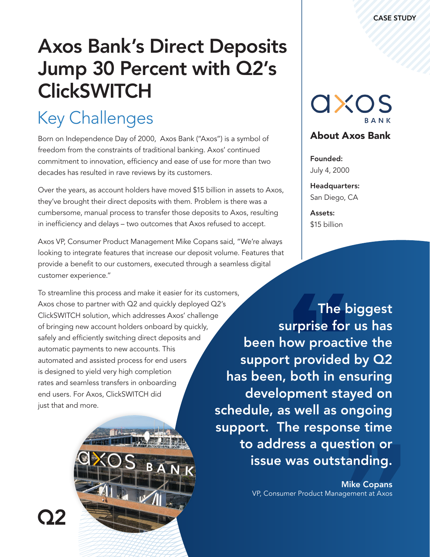# Axos Bank's Direct Deposits Jump 30 Percent with Q2's **ClickSWITCH**

# Key Challenges

Born on Independence Day of 2000, Axos Bank ("Axos") is a symbol of freedom from the constraints of traditional banking. Axos' continued commitment to innovation, efficiency and ease of use for more than two decades has resulted in rave reviews by its customers.

Over the years, as account holders have moved \$15 billion in assets to Axos, they've brought their direct deposits with them. Problem is there was a cumbersome, manual process to transfer those deposits to Axos, resulting in inefficiency and delays – two outcomes that Axos refused to accept.

Axos VP, Consumer Product Management Mike Copans said, "We're always looking to integrate features that increase our deposit volume. Features that provide a benefit to our customers, executed through a seamless digital customer experience."

To streamline this process and make it easier for its customers, Axos chose to partner with Q2 and quickly deployed Q2's ClickSWITCH solution, which addresses Axos' challenge of bringing new account holders onboard by quickly, safely and efficiently switching direct deposits and automatic payments to new accounts. This automated and assisted process for end users is designed to yield very high completion rates and seamless transfers in onboarding end users. For Axos, ClickSWITCH did just that and more.



axos

#### About Axos Bank

Founded: July 4, 2000

Headquarters: San Diego, CA

Assets: \$15 billion

The biggest surprise for us has been how proactive the support provided by Q2 has been, both in ensuring development stayed on schedule, as well as ongoing support. The response time to address a question or issue was outstanding.

> Mike Copans VP, Consumer Product Management at Axos

OY